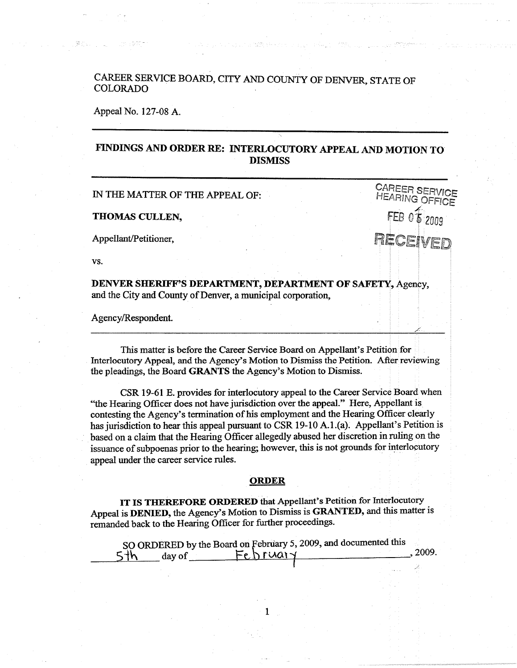## CAREER SERVICE BOARD, CITY AND COUNTY OF DENVER STATE OF COLORADO

## Appeal No. 127-08 A.

## **FINDINGS AND ORDER RE: INTERLOCUTORY APPEAL AND MOTION TO DISMISS**

IN THE MATTER OF THE APPEAL OF:

**THOMAS CULLEN,** 

Appellant/Petitioner,

**vs.** 

**DENVER SHERIFF'S DEPARTMENT, DEPARTMENT OF SAFETY,** Agency, and the City and County of Denver, a municipal corporation,

Agency/Respondent.

This matter is before the Career Service Board on Appellant's Petition for Interlocutory Appeal, and the Agency's Motion to Dismiss the Petition. After reviewing the pleadings, the Board GRANTS the Agency's Motion to Dismiss.

CSR 19-61 E. provides for interlocutory appeal to the Career Service Board when "the Hearing Officer does not have jurisdiction over the appeal." Here, Appellant is contesting the Agency's termination of his employment and the Hearing Officer clearly has jurisdiction to hear this appeal pursuant to CSR 19-10 A.l.(a). Appellant's Petition is based on a claim that the Hearing Officer allegedly abused her discretion in ruling on the issuance of subpoenas prior to the hearing; however, this is not grounds for interlocutory appeal under the career service rules.

## **ORDER**

**IT IS THEREFORE ORDERED** that Appellant's Petition for Interlocutory Appeal is **DENIED,** the Agency's Motion to Dismiss is **GRANTED,** and this matter is remanded back to the Hearing Officer for further proceedings.

| SO ORDERED by the Board on February 5, 2009, and documented this |             |       |
|------------------------------------------------------------------|-------------|-------|
| 5th<br>day of                                                    | $Feh$ ruary | .2009 |

1

CAREER SERVICE **HEARING OFFICE** I FEB *0~ 2009*  RECEIVED